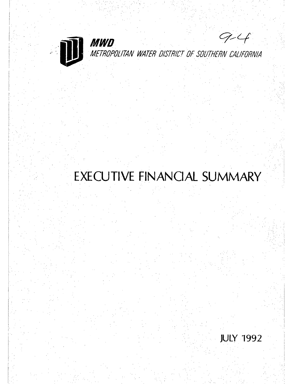

**JULY 1992** 

**WWD**<br>METROPOLITAN WATER DISTRICT OF SOUTHERN CALIFORNIA

# EXECUTIVE FINANCIAL SUMMARY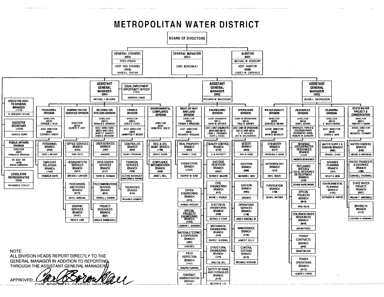# **METROPOLITAN WATER DISTRICT**

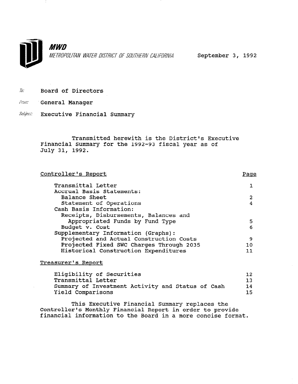

**MWD** METROPOLITAN WATER DISTRICT OF SOUTHERN CALIFORNIA

**To:** Board of Directors

From: General Manager

Subject: Executive Financial Summary

Transmitted herewith is the District's Executive Financial Summary for the 1992-93 fiscal year as of July 31, 1992.

| Controller's Report                      | Page |
|------------------------------------------|------|
| Transmittal Letter                       |      |
| Accrual Basis Statements:                |      |
| Balance Sheet                            |      |
| Statement of Operations                  | 4    |
| Cash Basis Information:                  |      |
| Receipts, Disbursements, Balances and    |      |
| Appropriated Funds by Fund Type          | 5    |
| Budget v. Cost                           | 6    |
| Supplementary Information (Graphs):      |      |
| Projected and Actual Construction Costs  | 9    |
| Projected Fixed SWC Charges Through 2035 | 10   |
| Historical Construction Expenditures     |      |
| Treasurer's Report                       |      |

Eligibility of Securities 12 Transmittal Letter 13 Summary of Investment Activity and Status of Cash 14 bummury of investment necrvity und beatas of cash and the standard state of the state of the value of  $\sim$  15

This Executive Financial Summary replaces the THIS ENCORCITO I INDICATE SUMMAIT TOPIQOOS CHO.<br>Controller's Monthly Financial Report in order to provid financial information to the Board in a more concise format.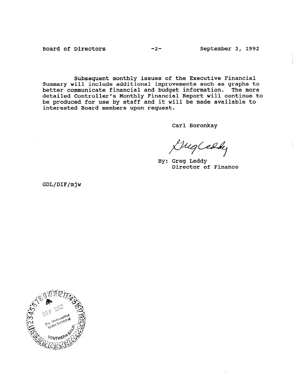Board of Directors -2- September 3, 1992

Subsequent monthly issues of the Executive Financial Summary will include additional improvements such as graphs to better communicate financial and budget information. The more detailed Controller's Monthly Financial Report will continue to be produced for use by staff and it will be made available to interested Board members upon request.

Carl Boronkay

Gregleddy

By: Greg Leddy Director of Finance

GDL/DIF/mjw

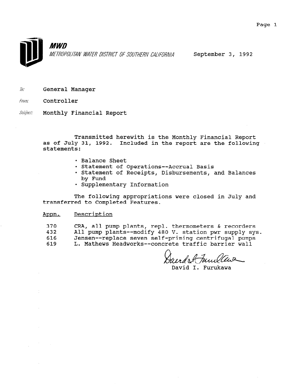

September 3, 1992

Ta: General Manager

Fram: Controller

Subject: Monthly Financial Report

Transmitted herewith is the Monthly Financial Report as of July 31, 1992. Included in the report are the following statements:

- · Balance Sheet
- · Statement of Operations--Accrual Basis
- · Statement of Receipts, Disbursements, and Balances by Fund
- · Supplementary Information

The following appropriations were closed in July and transferred to Completed Features.

#### Appn. Description

| 370 | CRA, all pump plants, repl. thermometers & recorders   |
|-----|--------------------------------------------------------|
| 432 | All pump plants--modify 480 V. station pwr supply sys. |
| 616 | Jensen--replace seven self-priming centrifugal pumps   |
| 619 | L. Mathews Headworks--concrete traffic barrier wall    |

David I. Furuka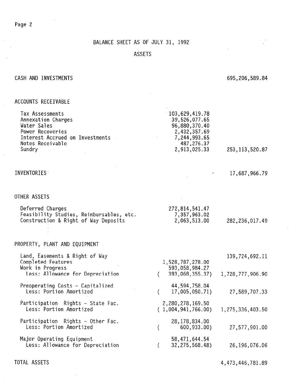## Page 2

# BALANCE SHEET AS OF JULY 31, 1992

## ASSETS

## CASH AND INVESTMENTS

## 695,206,589.84

### ACCOUNTS RECEIVABLE

| Tax Assessments                 | 103,629,419.78 |                  |
|---------------------------------|----------------|------------------|
| Annexation Charges              | 39,526,077.65  |                  |
| Water Sales                     | 96,880,370.40  |                  |
| Power Recoveries                | 2,432,357.69   |                  |
| Interest Accrued on Investments | 7,244,993.65   |                  |
| Notes Receivable                | 487,276.37     |                  |
| Sundry                          | 2,913,025.33   | 253, 113, 520.87 |
|                                 |                |                  |

### **INVENTORIES**

17,687,966.79

 $\epsilon$ 

#### OTHER ASSETS

| Deferred Charges                         | 272,814,541.47 |                |
|------------------------------------------|----------------|----------------|
| Feasibility Studies, Reimbursables, etc. | 7,357,963.02   |                |
| Construction & Right of Way Deposits     | 2,063,513.00   | 282,236,017.49 |

# PROPERTY, PLANT AND EQUIPMENT

| Land, Easements & Right of Way<br>Completed Features          | 1,528,787,278.00                       | 139,724,692.11   |
|---------------------------------------------------------------|----------------------------------------|------------------|
| Work in Progress<br>Less: Allowance for Depreciation          | 593,058,984.27<br>393,068,355.37)      | 1,728,777,906.90 |
| Preoperating Costs - Capitalized<br>Less: Portion Amortized   | 44, 594, 758.04<br>17,005,050.71)      | 27,589,707.33    |
| Participation Rights - State Fac.<br>Less: Portion Amortized  | 2,280,278,169.50<br>(1,004,941,766.00) | 1,275,336,403.50 |
| Participation Rights - Other Fac.<br>Less: Portion Amortized  | 28,178,834.00<br>600,933.00)           | 27,577,901.00    |
| Major Operating Equipment<br>Less: Allowance for Depreciation | 58, 471, 644.54<br>32,275,568.48)      | 26,196,076.06    |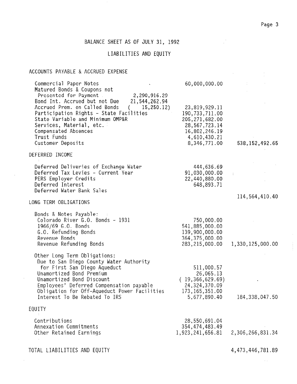$\sim$   $\sim$ 

# BALANCE SHEET AS OF JULY 31, 1992

# LIABILITIES AND EQUITY

## ACCOUNTS PAYABLE & ACCRUED EXPENSE

| Commercial Paper Notes<br>Matured Bonds & Coupons not                                                                                                                                                                                                                                         | 60,000,000.00                                                                                            |                     |
|-----------------------------------------------------------------------------------------------------------------------------------------------------------------------------------------------------------------------------------------------------------------------------------------------|----------------------------------------------------------------------------------------------------------|---------------------|
| Presented for Payment.<br>2,290,916.29<br>Bond Int. Accrued but not Due<br>21, 544, 262.94<br>Accrued Prem. on Called Bonds<br>15, 250.12)<br>Participation Rights - State Facilities<br>State Variable and Minimum OMP&R<br>Services, Material, etc.<br>Compensated Absences<br>Trust Funds  | 23,819,929.11<br>190,733,711.00<br>205, 271, 682.00<br>28, 567, 723. 14<br>16,802,246.19<br>4,610,430.21 |                     |
| Customer Deposits                                                                                                                                                                                                                                                                             | 8,346,771.00                                                                                             | 538, 152, 492.65    |
| DEFERRED INCOME                                                                                                                                                                                                                                                                               |                                                                                                          |                     |
| Deferred Deliveries of Exchange Water<br>Deferred Tax Levies - Current Year<br>PERS Employer Credits<br>Deferred Interest<br>Deferred Water Bank Sales                                                                                                                                        | 444,636.69<br>91,030,000.00<br>22,440,880.00<br>648,893.71                                               | ÷.                  |
| LONG TERM OBLIGATIONS                                                                                                                                                                                                                                                                         |                                                                                                          | 114,564,410.40      |
| Bonds & Notes Payable:<br>Colorado River G.O. Bonds - 1931<br>1966/69 G.O. Bonds<br>G.O. Refunding Bonds<br>Revenue Bonds<br>Revenue Refunding Bonds                                                                                                                                          | 750,000.00<br>541,885,000.00<br>139,900,000.00<br>364, 375, 000.00<br>283, 215, 000.00                   | 1,330,125,000.00    |
| Other Long Term Obligations:<br>Due to San Diego County Water Authority<br>for First San Diego Aqueduct<br>Unamortized Bond Premium<br>Unamortized Bond Discount<br>Employees' Deferred Compensation payable<br>Obligation for Off-Aqueduct Power Facilities<br>Interest To Be Rebated To IRS | 511,000.57<br>26,065.13<br>(19,366,629.69)<br>24, 324, 370.09<br>173, 165, 351.00<br>5,677,890.40        | 184, 338, 047.50    |
| EQUITY                                                                                                                                                                                                                                                                                        |                                                                                                          |                     |
| Contributions<br>Annexation Commitments<br>Other Retained Earnings                                                                                                                                                                                                                            | 28,550,691.04<br>354, 474, 483.49<br>1,923,241,656.81                                                    | 2,306,266,831.34    |
| TOTAL LIABILITIES AND EQUITY                                                                                                                                                                                                                                                                  |                                                                                                          | 4, 473, 446, 781.89 |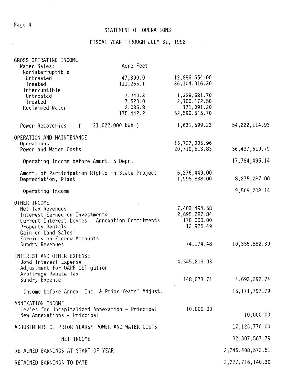# STATEMENT OF OPERATIONS

 $\bar{z}$ 

# FISCAL YEAR THROUGH JULY 31, 1992

| GROSS OPERATING INCOME<br>Water Sales:                                                                                                                         | Acre Feet                                         |                                                                        |                      |
|----------------------------------------------------------------------------------------------------------------------------------------------------------------|---------------------------------------------------|------------------------------------------------------------------------|----------------------|
| Noninterruptible<br>Untreated<br>Treated                                                                                                                       | 47,390.0<br>111,255.1                             | 12,886,654.00<br>36, 104, 016.30                                       |                      |
| Interruptible<br>Untreated<br>Treated<br>Reclaimed Water                                                                                                       | 7,240.3<br>7,520.0<br>2,036.8<br>175,442.2        | 1,328,581.70<br>2,100,172.50<br>171,091.20<br>52,590,515.70            |                      |
| Power Recoveries:                                                                                                                                              | 31,022,000 kWh )<br>- (                           | 1,631,599.23                                                           | 54, 222, 114.93      |
| OPERATION AND MAINTENANCE<br>Operations<br>Power and Water Costs                                                                                               |                                                   | 15,727,005.96<br>20,710,613.83                                         | 36, 437, 619.79      |
| Operating Income before Amort. & Depr.                                                                                                                         |                                                   |                                                                        | 17,784,495.14        |
| Depreciation, Plant                                                                                                                                            | Amort. of Participation Rights in State Project   | 6,276,449.00<br>1,998,838.00                                           | 8,275,287.00         |
| Operating Income                                                                                                                                               |                                                   |                                                                        | 9,509,208.14         |
| OTHER INCOME<br>Net Tax Revenues<br>Interest Earned on Investments<br>Property Rentals<br>Gain on Land Sales<br>Earnings on Escrow Accounts<br>Sundry Revenues | Current Interest Levies - Annexation Commitments  | 7,403,494.58<br>2,695,287.84<br>170,000.00<br>12,925.49<br>74, 174. 48 | 10, 355, 882.39      |
| INTEREST AND OTHER EXPENSE<br>Bond Interest Expense<br>Adjustment for OAPF Obligation<br>Arbitrage Rebate Tax                                                  |                                                   | 4,545,219.03                                                           |                      |
| Sundry Expense                                                                                                                                                 |                                                   | 148,073.71                                                             | 4,693,292.74         |
|                                                                                                                                                                | Income before Annex. Inc. & Prior Years' Adjust.  |                                                                        | 15, 171, 797. 79     |
| ANNEXATION INCOME<br>New Annexations - Principal                                                                                                               | Levies for Uncapitalized Annexation - Principal   | 10,000.00                                                              | 10,000.00            |
|                                                                                                                                                                | ADJUSTMENTS OF PRIOR YEARS' POWER AND WATER COSTS |                                                                        | 17,125,770.00        |
| NET INCOME                                                                                                                                                     |                                                   |                                                                        | 32, 307, 567.79      |
| RETAINED EARNINGS AT START OF YEAR                                                                                                                             |                                                   |                                                                        | 2, 245, 408, 572. 51 |
| RETAINED EARNINGS TO DATE                                                                                                                                      |                                                   |                                                                        | 2, 277, 716, 140. 30 |

 $\ddot{\phantom{a}}$ 

 $\mathcal{A}$ 

 $\hat{\mathcal{A}}$ 

 $\bar{\beta}$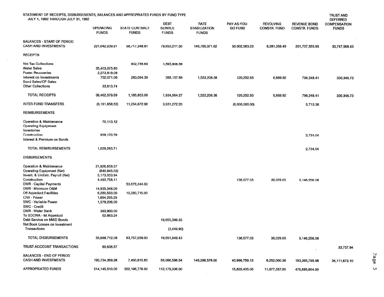| STATEMENT OF RECEIPTS, DISBURSEMENTS, BALANCES AND APPROPRIATED FUNDS BY FUND TYPE<br>JULY 1, 1992 THROUGH JULY 31, 1992 |                                  |                                       |                                        |                                              |                               |                                         |                                             | <b>TRUST AND</b><br><b>DEFERRED</b> |
|--------------------------------------------------------------------------------------------------------------------------|----------------------------------|---------------------------------------|----------------------------------------|----------------------------------------------|-------------------------------|-----------------------------------------|---------------------------------------------|-------------------------------------|
|                                                                                                                          | <b>OPERATING</b><br><b>FUNDS</b> | <b>STATE CONTRACT</b><br><b>FUNDS</b> | DEBT<br><b>SERVICE</b><br><b>FUNDS</b> | RATE<br><b>STABILIZATION</b><br><b>FUNDS</b> | PAY-AS-YOU-<br><b>GO FUND</b> | <b>REVOLVING</b><br><b>CONSTR. FUND</b> | <b>REVENUE BOND</b><br><b>CONSTR. FUNDS</b> | <b>COMPENSATION</b><br><b>FUNDS</b> |
| <b>BALANCES - START OF PERIOD</b>                                                                                        |                                  |                                       |                                        |                                              |                               |                                         |                                             |                                     |
| <b>CASH AND INVESTMENTS</b>                                                                                              | 221,042,239.91                   | 58,717,348.81                         | 79,853,211.50                          | 146,765,371.62                               | 50,002,583.23                 | 6,281,359.49                            | 201,707,355.85                              | 33,747,568.43                       |
| <b>RECEIPTS</b>                                                                                                          |                                  |                                       |                                        |                                              |                               |                                         |                                             |                                     |
| <b>Net Tax Collections</b>                                                                                               |                                  | 902,758.69                            | 1,565,906.58                           |                                              |                               |                                         |                                             |                                     |
| <b>Water Sales</b>                                                                                                       | 35,403,075.80                    |                                       |                                        |                                              |                               |                                         |                                             |                                     |
| Power Recoveries                                                                                                         | 2,273,819.09                     |                                       |                                        |                                              |                               |                                         |                                             |                                     |
| Interest on Investments                                                                                                  | 752,071.06                       | 283,094.39                            | 368,157.69                             | 1,523,206.38                                 | 120,252.93                    | 6,669.92                                | 796,248.41                                  | 330,346.73                          |
| <b>Bond Sales/CP Sales</b>                                                                                               |                                  |                                       |                                        |                                              |                               |                                         |                                             |                                     |
| <b>Other Collections</b>                                                                                                 | 33,613.74                        |                                       |                                        |                                              |                               |                                         |                                             |                                     |
| TOTAL RECEIPTS                                                                                                           | 38,462,579.69                    | 1,185,853.08                          | 1,934,064.27                           | 1,523,206.38                                 | 120,252.93                    | 6,669.92                                | 796,248.41                                  | 330,346.73                          |
| INTER-FUND TRANSFERS                                                                                                     | (9, 191, 658.52)                 | 11,254,672.96                         | 3,931,272.20                           |                                              | (6,000,000,00)                |                                         | 5,713.36                                    |                                     |
| <b>REIMBURSEMENTS</b>                                                                                                    |                                  |                                       |                                        |                                              |                               |                                         |                                             |                                     |
| <b>Operation &amp; Maintenance</b>                                                                                       | 70,113.12                        |                                       |                                        |                                              |                               |                                         |                                             |                                     |
| <b>Operating Equipment</b>                                                                                               |                                  |                                       |                                        |                                              |                               |                                         |                                             |                                     |
| Inventories                                                                                                              |                                  |                                       |                                        |                                              |                               |                                         |                                             |                                     |
| Construction                                                                                                             | 959,170.59                       |                                       |                                        |                                              |                               |                                         | 2,734.04                                    |                                     |
| Interest & Premium on Bonds                                                                                              |                                  |                                       |                                        |                                              |                               |                                         |                                             |                                     |
| TOTAL REIMBURSEMENTS                                                                                                     | 1.029,283.71                     |                                       |                                        |                                              |                               |                                         | 2,734.04                                    |                                     |
| <b>DISBURSEMENTS</b>                                                                                                     |                                  |                                       |                                        |                                              |                               |                                         |                                             |                                     |
| <b>Operation &amp; Maintenance</b>                                                                                       | 21.926,659.57                    |                                       |                                        |                                              |                               |                                         |                                             |                                     |
| <b>Operating Equipment (Net)</b>                                                                                         | (840, 945.03)                    |                                       |                                        |                                              |                               |                                         |                                             |                                     |
| Invent. & Undistr. Payroll (Net)                                                                                         | 5,173,033.94                     |                                       |                                        |                                              |                               |                                         |                                             |                                     |
| Construction                                                                                                             | 4,493,758.11                     |                                       |                                        |                                              | 136,077.03                    | 36,029.05                               | 9,146,256.08                                |                                     |
| <b>DWR</b> - Capital Payments                                                                                            |                                  | 53,676,344.00                         |                                        |                                              |                               |                                         |                                             |                                     |
| DWR - Minimum O&M                                                                                                        | 14,935,348.00                    |                                       |                                        |                                              |                               |                                         |                                             |                                     |
| <b>Off Aqueduct Facilities</b>                                                                                           | 6,280,593.00                     | 10,080,715.00                         |                                        |                                              |                               |                                         |                                             |                                     |
| CRA - Power                                                                                                              | 1,694,295.25                     |                                       |                                        |                                              |                               |                                         |                                             |                                     |
| SWC - Variable Power                                                                                                     | 1,579,206.00                     |                                       |                                        |                                              |                               |                                         |                                             |                                     |
| SWC - Credit                                                                                                             |                                  |                                       |                                        |                                              |                               |                                         |                                             |                                     |
| <b>DWR - Water Bank</b>                                                                                                  | 393,900.00                       |                                       |                                        |                                              |                               |                                         |                                             |                                     |
| To SDCWA - Ist Aqueduct                                                                                                  | 52,863.24                        |                                       |                                        |                                              |                               |                                         |                                             |                                     |
| Debt Service on MWD Bonds                                                                                                |                                  |                                       | 19,655,399.33                          |                                              |                               |                                         |                                             |                                     |
| Net Book Losses on Investment                                                                                            |                                  |                                       |                                        |                                              |                               |                                         |                                             |                                     |
| <b>Inansactions</b>                                                                                                      |                                  |                                       | (3,449.90)                             |                                              |                               |                                         |                                             |                                     |
| TOTAL DISBURSEMENTS                                                                                                      | 55,688,712.08                    | 63,757,059.00                         | 19,651,949.43                          |                                              | 136,077.03                    | 36,029.05                               | 9,146,256.08                                |                                     |
| TRUST ACCOUNT TRANSACTIONS                                                                                               | 80,636.57                        |                                       |                                        |                                              |                               |                                         |                                             | 33,757.94                           |
| <b>BALANCES - END OF PERIOD</b>                                                                                          |                                  |                                       |                                        |                                              |                               |                                         |                                             |                                     |
| <b>CASH AND INVESTMENTS</b>                                                                                              | 195,734,369.28                   | 7,400,815.85                          | 66,066,598 54                          | 148,288,578.00                               | 43,986,759.13                 | 6,252,000.36                            |                                             |                                     |
|                                                                                                                          |                                  |                                       |                                        |                                              |                               |                                         | 193,365,795.58                              | 34,111,673.10                       |
| <b>APPROPRIATED FUNDS</b>                                                                                                | 514,145,510.00                   | 202, 196, 776.00                      | 112,179,336.00                         |                                              | 15,820,435.00                 | 11,977,357.00                           | 476.685.664.00                              |                                     |

 $\sim 10^6$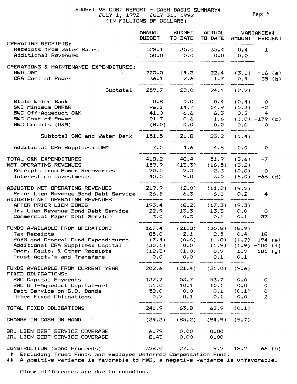#### BUDGET VS COST REPORT - CASH BASIS SUMMARY\* JULY 1, 1992 - JULY 31, 1992 /IN MILLIONS OF DOLLARS)

|                                                                                                                              |               | ANNUAL BUDGET ACTUAL VARIANCE**<br>BUDGET TO DATE TO DATE AMOUNT PERCENT    |             |                               |                |  |
|------------------------------------------------------------------------------------------------------------------------------|---------------|-----------------------------------------------------------------------------|-------------|-------------------------------|----------------|--|
| OPERATING RECEIPTS:                                                                                                          |               | _________                                                                   | ---------   |                               |                |  |
| Receipts from Water Sales<br>Additional Revenues                                                                             | 528.1<br>50.0 | $35.0$ $35.4$ $0.4$ 1<br>$0.0$ $0.0$ $0.0$<br>___________                   | _________   |                               |                |  |
| OPERATIONS & MAINTENANCE EXPENDITURES:                                                                                       |               |                                                                             |             |                               |                |  |
| MWD D&M                                                                                                                      |               | $223.5$ $19.3$ $22.4$ $(3.1)$ $-16$ (a)                                     |             |                               |                |  |
| CRA Cost of Power                                                                                                            |               | 36.1 2.6 1.7 0.9 35 (b)<br>--------                                         |             |                               |                |  |
| Subtotal                                                                                                                     | __________    | $259.7$ $22.0$<br>_________                                                 | ----------  | $24.1$ $(2.2)$                |                |  |
| State Water Bank                                                                                                             |               | $0.8$ $0.0$ $0.4$ $(0.4)$ 0                                                 |             |                               |                |  |
| SWC Minimum OMP&R                                                                                                            |               | $96.1$ 14.7 14.9 (0.3) -2                                                   |             |                               |                |  |
| SWC Off-Aqueduct O&M                                                                                                         |               | 41.0 6.6 6.3 0.3 4                                                          |             |                               |                |  |
| SWC Cost of Power                                                                                                            |               | $21.7$ 0.6 1.6 $(1.0)$ -179 (c)                                             |             |                               |                |  |
| SWC Credits (O&M)                                                                                                            |               | $(8.0)$ 0.0 0.0 0.0 0<br>_________                                          |             |                               |                |  |
| Subtotal-SWC and Water Bank                                                                                                  |               | $151.5$ $21.8$<br>----------                                                |             | $23.2$ $(1.4)$                |                |  |
| Additional CRA Supplies: O&M                                                                                                 |               | $7.0$ 4.6                                                                   |             | 4.6 0.0 0                     |                |  |
| TOTAL O&M EXPENDITURES<br>NET OPERATING REVENHES                                                                             |               | $418.2$ $48.4$ $51.9$ $(3.6)$ $-7$                                          |             |                               |                |  |
| NET OPERATING REVENUES                                                                                                       |               | $159.9$ (13.3) (16.5) (3.2)<br>20.0 2.3 2.3 (0.0) 0<br>20.0 2.3 2.3 (0.0) 0 |             |                               |                |  |
|                                                                                                                              |               |                                                                             |             |                               |                |  |
| Receipts from Power Recoveries<br>Interest on Investments                                                                    | 40.0          | $9.0$ 3.0 (6.0)<br>________                                                 | ----------- |                               | $-66$ (d)      |  |
| ADJUSTED NET OPERATING REVENUES                                                                                              |               | $219.9$ $(2.0)$ $(11.2)$ $(9.2)$                                            |             |                               |                |  |
| ADJUSTED NET OPERATING REVENUES                                                                                              |               |                                                                             |             |                               | $\overline{4}$ |  |
|                                                                                                                              |               |                                                                             |             |                               |                |  |
|                                                                                                                              |               |                                                                             |             |                               | $\circ$        |  |
|                                                                                                                              |               |                                                                             |             |                               | 57             |  |
| FUNDS AVAILABLE FROM OPERATIONS 167.4 (21.8) (30.8) (8.9)                                                                    |               |                                                                             |             |                               |                |  |
|                                                                                                                              |               |                                                                             |             |                               |                |  |
| Tax Receipts<br>PAYG and General Fund Expenditures<br>PAYG and General Fund Expenditures<br>(7.4) (0.6) (1.8) (1.2) -194 (e) |               |                                                                             |             |                               |                |  |
| Additional CRA Supplies: Capital (30.1) 0.0 (1.9) (1.9) -100 (f)                                                             |               |                                                                             |             |                               |                |  |
| Oper. Equip. & Other Receipts                                                                                                | (12.3)        | (1.0)                                                                       | 0.9         | 1.9                           | 185 (g)        |  |
| Trust Acct.'s and Transfers                                                                                                  | $O$ , $O$     | 0.0                                                                         | 0.1         | 0.1                           |                |  |
| FUNDS AVAILABLE FROM CURRENT YEAR<br>FIXED OBLIGATIONS:                                                                      | 202.6         | (21.4)                                                                      | (31.0)      | (9.6)                         |                |  |
| SWC Capital Payments                                                                                                         | 132.7         | 53.7                                                                        |             | 53.70.0                       | $\circ$        |  |
| SWC Off-Aqueduct Capital-net                                                                                                 | 51.0          | 10.1                                                                        |             | $10.1 \t 0.0$                 | 0              |  |
| Debt Service on G.O. Bonds                                                                                                   | 58.0          | 0.0                                                                         | 0.1         | (0.1)                         | $\circ$        |  |
| Other Fixed Obligations                                                                                                      | 0, 2          | 0.1                                                                         | 0.1         | O <sub>n</sub> O <sub>n</sub> | 2              |  |
| TOTAL FIXED OBLIGATIONS                                                                                                      | 241.9         | 63.8                                                                        | 63.9        | (0.1)                         |                |  |
| CHANGE IN CASH ON HAND                                                                                                       | (39.3)        | (85.2)                                                                      | (94.9)      | (9.7)                         |                |  |
| SR. LIEN DEBT SERVICE COVERAGE                                                                                               | 6.79          | 0.00                                                                        | 0.00        |                               |                |  |
| JR. LIEN DEBT SERVICE COVERAGE                                                                                               | 8.43          | 0.00                                                                        | 0.00        |                               |                |  |
|                                                                                                                              |               |                                                                             |             |                               |                |  |

CONSTRUCTION (Bond Proceeds) 328.0 27.3 9.2 18.2 66 Ch)  $\frac{1}{2}$  Excluding Trust Funds and Employee Deferred Computer  $\frac{1}{2}$   $\frac{1}{2}$   $\frac{1}{2}$   $\frac{1}{2}$   $\frac{1}{2}$   $\frac{1}{2}$   $\frac{1}{2}$   $\frac{1}{2}$   $\frac{1}{2}$   $\frac{1}{2}$   $\frac{1}{2}$   $\frac{1}{2}$   $\frac{1}{2}$   $\frac{1}{2}$   $\frac{1}{2}$   $\frac{1}{2}$ 

 $\ddotmark$  excluding frast runds and employee beferred compensation rund.

Minor differences are due to rounding.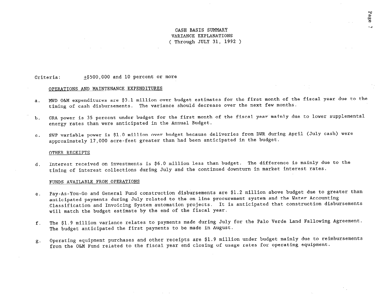#### CASH BASIS SUMMARY VARIANCE EXPLANATIONS ( Through JULY 31, 1992 >

Page

 $\sim$ 

#### Criteria: +\$500,000 and 10 percent or more

#### OPERATIONS AND MAINTENANCE EXPENDITURES

- a. MWD O&M expenditures are \$3.1 million over budget estimates for the first month of the fiscal year due to the timing of cash disbursements. The variance should decrease over the next few months.
- b. CRA power is 35 percent under budget for the first month of the fiscal year mainly due to lower supplemental energy rates than were anticipated in the Annual Budget.
- C. SWP variable power is \$1.0 million over budget because deliveries from DWR during April (July cash) were approximately 17,000 acre-feet greater than had been anticipated in the budget.

#### OTHER RECEIPTS

d. Interest received on investments is \$6.0 million less than budget. The difference is mainly due to the timing of interest collections during July and the continued downturn in market interest rates.

#### FUNDS AVAILABLE FROM OPERATIONS

- e. Pay-As-You-Go and General Fund construction disbursements are \$1.2 million above budget due to greater than anticipated payments during July related to the on line procurement system and the Water Accounting Classification and Invoicing System automation projects. It is anticipated that construction disbursements will match the budget estimate by the end of the fiscal year.
- f. The \$1.9 million variance relates to payments made during July for the Palo Verde Land Fallowing Agreement. The budget anticipated the first payments to be made in August.
- 8. Operating equipment purchases and other receipts are \$1.9 million under budget mainly due to reimbursements from the O&M Fund related to the fiscal year end closing of usage rates for operating equipment,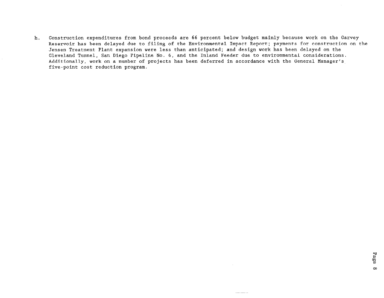h. Construction expenditures from bond proceeds are 66 percent below budget mainly because work on the Garvey Reservoir has been delayed due to filing of the Environmental Impact Report; payments for construction on the Jensen Treatment Plant expansion were less than anticipated; and design work has been delayed on the Cleveland Tunnel, San Diego Pipeline No, 6, and the Inland Feeder due to environmental considerations. Additionally, work on a number of projects has been deferred in accordance with the General Manager's five-point cost reduction program.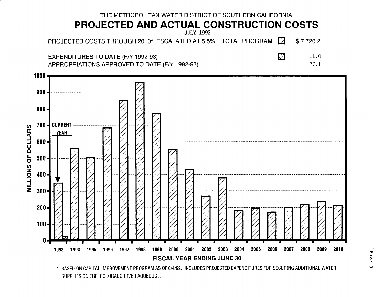

SUPPLIES ON THE COLORADO RIVER AQUEDUCT.

Page<sup>1</sup>  $\ddot{\circ}$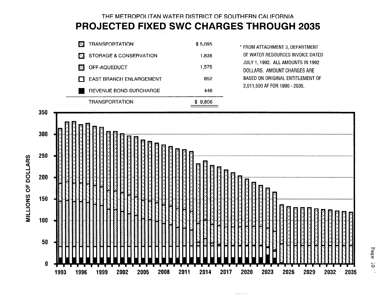# THE METROPOLITAN WATER DISTRICT OF SOUTHERN CALIFORNIA PROJECTED FIXED SWC CHARGES THROUGH 2035





Page r,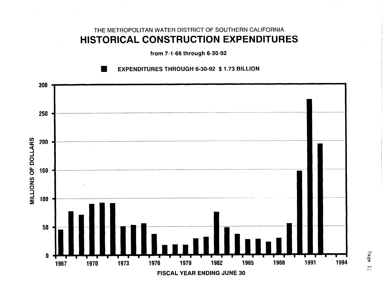# THE METROPOLITAN WATER DISTRICT OF SOUTHERN CALIFORNIA HISTORICAL CONSTRUCTION EXPENDITURES

from 7-1-66 through 6-30-92

**EXPENDITURES THROUGH 6-30-92 \$ 1.73 BILLION** 

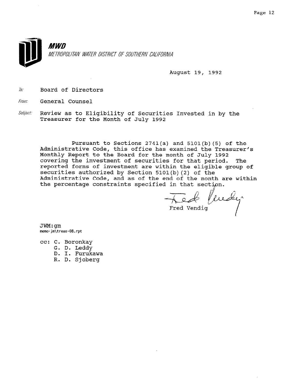

August 19, 1992

Board of Directors  $70.7$ 

From: General Counsel

Subject: Review as to Eligibility of Securities Invested in by the Treasurer for the Month of July 1992

Pursuant to Sections  $2741(a)$  and  $5101(b)(5)$  of the Administrative Code, this office has examined the Treasurer's Monthly Report to the Board for the month of July 1992 covering the investment of securities for that period. The reported forms of investment are within the eligible group of securities authorized by Section 5101(b)(2) of the Administrative Code, and as of the end of the month are within the percentage constraints specified in that section.

Fed Vucky

JWM:gm memo-jm\treas-08.rpt

cc: C. Boronkay

G. D. Leddy

D. I. Furukawa

R. D. Sjoberg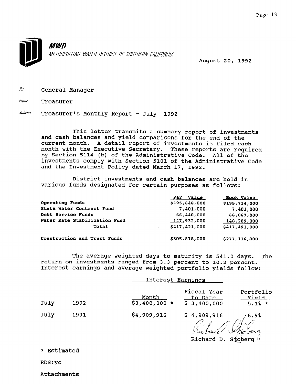

August 20, 1992

**70:** General Manager

From: Treasurer

Subject: Treasurer's Monthly Report - July 1992

This letter transmits a summary report of investments and cash balances and yield comparisons for the end of the current month. A detail report of investments is filed each month with the Executive Secretary. These reports are required by Section 5114 (b) of the Administrative Code. All of the investments comply with Section 5101 of the Administrative Code and the Investment Policy dated March 17, 1992.

District investments and cash balances are held in various funds designated for certain purposes as follows:

|                               | Par Value     | Book Value    |
|-------------------------------|---------------|---------------|
| Operating Funds               | \$195,648,000 | \$195,734,000 |
| State Water Contract Fund     | 7,401,000     | 7,401,000     |
| Debt Service Funds            | 66,440,000    | 66,067,000    |
| Water Rate Stabilization Fund | 147,932,000   | 148,289,000   |
| Total                         | \$417,421,000 | \$417,491,000 |
| Construction and Trust Funds  | \$305,878,000 | \$277,716,000 |

The average weighted days to maturity is 541.0 days. The return on investments repred from 3.3 percent to 10.0 percent. return on investments ranged from 3.3 percent to 10.3 percent.<br>Interest earnings and average weighted portfolio yields follow:

|      |      | Interest Earnings      |                                              |                                   |
|------|------|------------------------|----------------------------------------------|-----------------------------------|
| July | 1992 | Month<br>$$3,400,000*$ | Fiscal Year<br><u>to Date</u><br>\$3,400,000 | Portfolio<br>Yield<br>$5.1% \; *$ |
| July | 1991 | \$4,909,916            | \$4,909,916                                  | 6.9%                              |
|      |      |                        | cupan                                        |                                   |

Richard D. Sjoberg  $\theta$ 

\* Estimated

RDS:yc

Attachments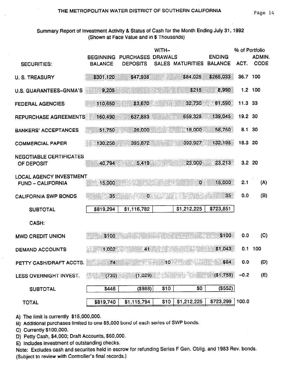#### Summary Report of Investment Activity & Status of Cash for the Month Ending July 31, 1992 (Shown at Face Value and in \$ Thousands)

|                                                            |                                    |                                      | WITH- |                          |                 | % of Portfolio |                              |
|------------------------------------------------------------|------------------------------------|--------------------------------------|-------|--------------------------|-----------------|----------------|------------------------------|
| <b>SECURITIES:</b>                                         | <b>BEGINNING</b><br><b>BALANCE</b> | PURCHASES DRAWALS<br><b>DEPOSITS</b> |       | SALES MATURITIES BALANCE | <b>ENDING</b>   | ACT.           | <b>ADMIN.</b><br><b>CODE</b> |
| <b>U. S. TREASURY</b>                                      | \$301,120                          | \$47,938                             |       | \$84,025                 | \$265,033       | 36.7 100       |                              |
| <b>U.S. GUARANTEES-GNMA'S</b>                              | 9,205                              |                                      |       | \$215                    | 8,990           |                | 1.2 100                      |
| <b>FEDERAL AGENCIES</b>                                    | 110,650                            | \$3,670                              |       | 32,730                   | 81,590          | 11.3 33        |                              |
| <b>REPURCHASE AGREEMENTS:</b>                              | 160,490                            | 637,883                              |       | 659,328                  | 139,045         | 19.2 30        |                              |
| <b>BANKERS' ACCEPTANCES</b>                                | 51,750                             | 26,000                               |       | 19,000                   | 58,750          | 8.1            | 30                           |
| <b>COMMERCIAL PAPER</b>                                    | 130,250                            | 395,872                              |       | 393,927                  | 132,195         | 18.3 20        |                              |
| <b>NEGOTIABLE CERTIFICATES</b><br>OF DEPOSIT               | 40.794                             | 5,419                                |       | 23,000                   | 23,213          | $3.2$ 20       |                              |
| <b>LOCAL AGENCY INVESTMENT</b><br><b>FUND - CALIFORNIA</b> | 15,000                             |                                      |       | $\mathbf 0$              | 15,000          | 2.1            | (A)                          |
| <b>CALIFORNIA SWP BONDS</b>                                | 35                                 | $\mathbf{0}$                         |       |                          | 35 <sup>°</sup> | 0.0            | (B)                          |
| <b>SUBTOTAL</b>                                            | \$819,294                          | \$1,116,782                          |       | \$1,212,225              | \$723,851       |                |                              |
| <b>CASH:</b>                                               |                                    |                                      |       |                          |                 |                |                              |
| <b>MWD CREDIT UNION</b>                                    | \$100                              |                                      |       |                          | \$100           | 0.0            | (C)                          |
| <b>DEMAND ACCOUNTS</b>                                     | 1,002                              | 41                                   |       |                          | \$1,043         | 0.1            | 100                          |
| PETTY CASH/DRAFT ACCTS                                     |                                    | <u> 174 - 18 10 - 18 10 - 18 1</u>   |       |                          |                 | 0.0            | (D)                          |
| LESS OVERNIGHT INVEST.                                     | 123<br>(730)                       | (1, 029)                             |       |                          | ( \$1,759)      | $-0.2$         | (E)                          |
| <b>SUBTOTAL</b>                                            | \$446                              | (\$988)                              | \$10  | \$0                      | (\$552)         |                |                              |
| <b>TOTAL</b>                                               | \$819,740                          | \$1,115,794                          | \$10  | \$1,212,225              | \$723,299       | 100.0          |                              |

A) The limit is currently \$15,000,000.

B) Additional purchases limited to one \$5,000 bond of each series of SWP bonds.

C) Currently \$100,000.

D) Petty Cash, \$4,000; Draft Accounts, \$60,000.

E) Includes investment of outstanding checks.

Note: Excludes cash and securites held in escrow for refunding Series F Gen. Oblig. and 1983 Rev. bonds. (Subject to review with Controller's final records.)